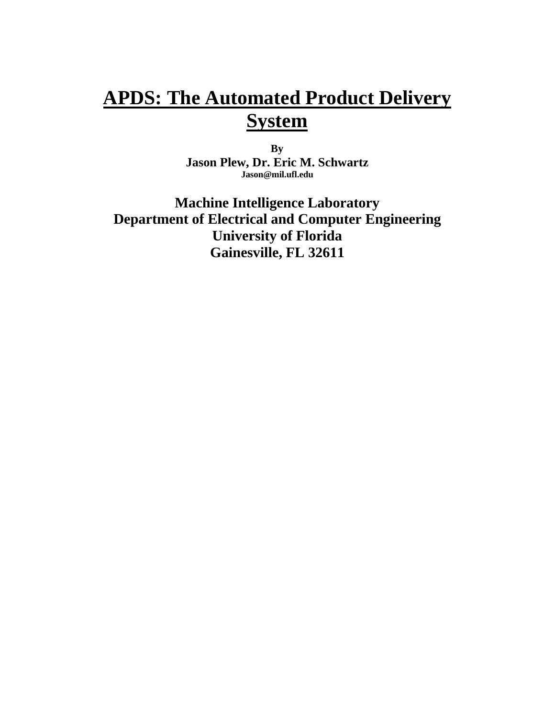# **APDS: The Automated Product Delivery System**

**By Jason Plew, Dr. Eric M. Schwartz Jason@mil.ufl.edu**

**Machine Intelligence Laboratory Department of Electrical and Computer Engineering University of Florida Gainesville, FL 32611**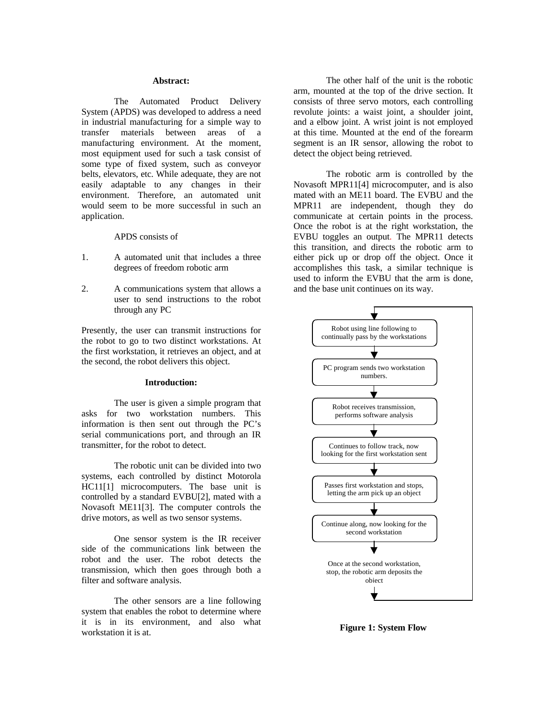#### **Abstract:**

The Automated Product Delivery System (APDS) was developed to address a need in industrial manufacturing for a simple way to transfer materials between areas of a manufacturing environment. At the moment, most equipment used for such a task consist of some type of fixed system, such as conveyor belts, elevators, etc. While adequate, they are not easily adaptable to any changes in their environment. Therefore, an automated unit would seem to be more successful in such an application.

APDS consists of

- 1. A automated unit that includes a three degrees of freedom robotic arm
- 2. A communications system that allows a user to send instructions to the robot through any PC

Presently, the user can transmit instructions for the robot to go to two distinct workstations. At the first workstation, it retrieves an object, and at the second, the robot delivers this object.

## **Introduction:**

The user is given a simple program that asks for two workstation numbers. This information is then sent out through the PC's serial communications port, and through an IR transmitter, for the robot to detect.

The robotic unit can be divided into two systems, each controlled by distinct Motorola HC11[1] microcomputers. The base unit is controlled by a standard EVBU[2], mated with a Novasoft ME11[3]. The computer controls the drive motors, as well as two sensor systems.

One sensor system is the IR receiver side of the communications link between the robot and the user. The robot detects the transmission, which then goes through both a filter and software analysis.

The other sensors are a line following system that enables the robot to determine where it is in its environment, and also what workstation it is at.

The other half of the unit is the robotic arm, mounted at the top of the drive section. It consists of three servo motors, each controlling revolute joints: a waist joint, a shoulder joint, and a elbow joint. A wrist joint is not employed at this time. Mounted at the end of the forearm segment is an IR sensor, allowing the robot to detect the object being retrieved.

The robotic arm is controlled by the Novasoft MPR11[4] microcomputer, and is also mated with an ME11 board. The EVBU and the MPR11 are independent, though they do communicate at certain points in the process. Once the robot is at the right workstation, the EVBU toggles an output. The MPR11 detects this transition, and directs the robotic arm to either pick up or drop off the object. Once it accomplishes this task, a similar technique is used to inform the EVBU that the arm is done, and the base unit continues on its way.



**Figure 1: System Flow**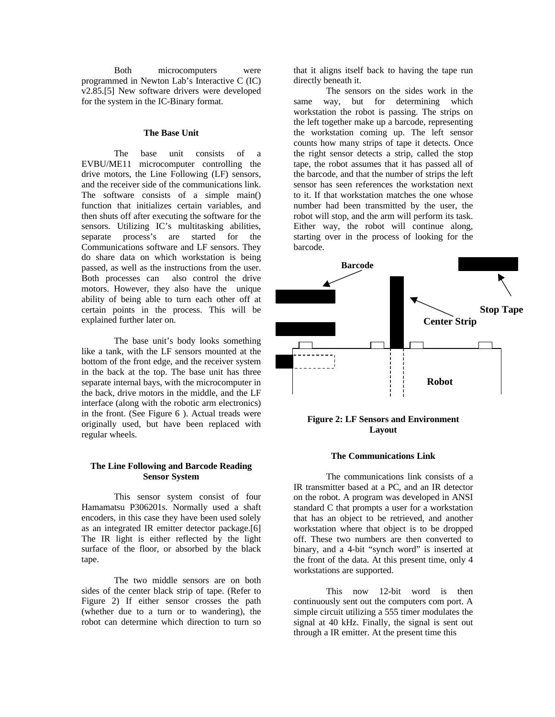Both microcomputers were programmed in Newton Lab's Interactive C (IC) v2.85.[5] New software drivers were developed for the system in the IC-Binary format.

#### **The Base Unit**

The base unit consists of a EVBU/ME11 microcomputer controlling the drive motors, the Line Following (LF) sensors, and the receiver side of the communications link. The software consists of a simple main() function that initializes certain variables, and then shuts off after executing the software for the sensors. Utilizing IC's multitasking abilities, separate process's are started for the Communications software and LF sensors. They do share data on which workstation is being passed, as well as the instructions from the user. Both processes can also control the drive motors. However, they also have the unique ability of being able to turn each other off at certain points in the process. This will be explained further later on.

The base unit's body looks something like a tank, with the LF sensors mounted at the bottom of the front edge, and the receiver system in the back at the top. The base unit has three separate internal bays, with the microcomputer in the back, drive motors in the middle, and the LF interface (along with the robotic arm electronics) in the front. (See Figure 6 ). Actual treads were originally used, but have been replaced with regular wheels.

# **The Line Following and Barcode Reading Sensor System**

This sensor system consist of four Hamamatsu P306201s. Normally used a shaft encoders, in this case they have been used solely as an integrated IR emitter detector package.[6] The IR light is either reflected by the light surface of the floor, or absorbed by the black tape.

The two middle sensors are on both sides of the center black strip of tape. (Refer to Figure 2) If either sensor crosses the path (whether due to a turn or to wandering), the robot can determine which direction to turn so

that it aligns itself back to having the tape run directly beneath it.

The sensors on the sides work in the same way, but for determining which workstation the robot is passing. The strips on the left together make up a barcode, representing the workstation coming up. The left sensor counts how many strips of tape it detects. Once the right sensor detects a strip, called the stop tape, the robot assumes that it has passed all of the barcode, and that the number of strips the left sensor has seen references the workstation next to it. If that workstation matches the one whose number had been transmitted by the user, the robot will stop, and the arm will perform its task. Either way, the robot will continue along, starting over in the process of looking for the barcode.



# **Figure 2: LF Sensors and Environment Layout**

#### **The Communications Link**

The communications link consists of a IR transmitter based at a PC, and an IR detector on the robot. A program was developed in ANSI standard C that prompts a user for a workstation that has an object to be retrieved, and another workstation where that object is to be dropped off. These two numbers are then converted to binary, and a 4-bit "synch word" is inserted at the front of the data. At this present time, only 4 workstations are supported.

This now 12-bit word is then continuously sent out the computers com port. A simple circuit utilizing a 555 timer modulates the signal at 40 kHz. Finally, the signal is sent out through a IR emitter. At the present time this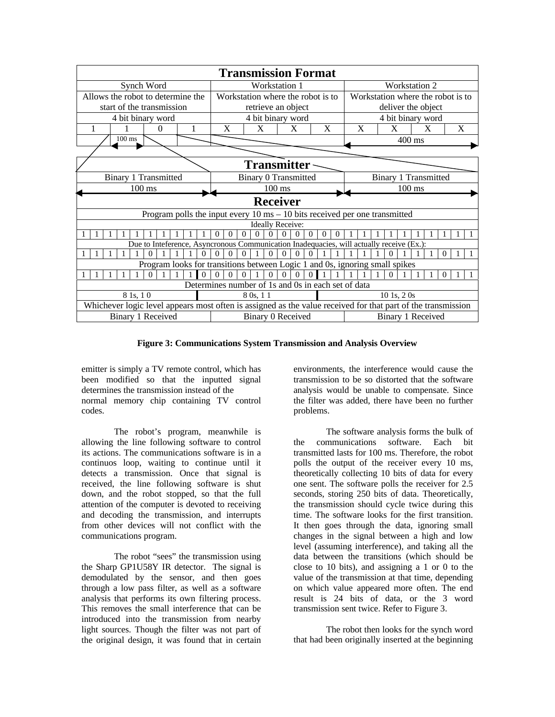|                                                                                              | <b>Transmission Format</b>                                                                                   |  |  |  |          |  |   |  |                                   |          |          |                  |                  |          |          |          |                                                                                          |                                   |                             |   |  |   |  |  |   |          |   |  |
|----------------------------------------------------------------------------------------------|--------------------------------------------------------------------------------------------------------------|--|--|--|----------|--|---|--|-----------------------------------|----------|----------|------------------|------------------|----------|----------|----------|------------------------------------------------------------------------------------------|-----------------------------------|-----------------------------|---|--|---|--|--|---|----------|---|--|
| Synch Word                                                                                   |                                                                                                              |  |  |  |          |  |   |  | Workstation 1                     |          |          |                  |                  |          |          |          |                                                                                          | <b>Workstation 2</b>              |                             |   |  |   |  |  |   |          |   |  |
| Allows the robot to determine the                                                            |                                                                                                              |  |  |  |          |  |   |  | Workstation where the robot is to |          |          |                  |                  |          |          |          |                                                                                          | Workstation where the robot is to |                             |   |  |   |  |  |   |          |   |  |
| start of the transmission                                                                    |                                                                                                              |  |  |  |          |  |   |  | retrieve an object                |          |          |                  |                  |          |          |          |                                                                                          | deliver the object                |                             |   |  |   |  |  |   |          |   |  |
| 4 bit binary word                                                                            |                                                                                                              |  |  |  |          |  |   |  | 4 bit binary word                 |          |          |                  |                  |          |          |          |                                                                                          | 4 bit binary word                 |                             |   |  |   |  |  |   |          |   |  |
| 1                                                                                            |                                                                                                              |  |  |  | $\Omega$ |  | 1 |  |                                   | X        |          | X                |                  |          | X        |          | X                                                                                        |                                   |                             | X |  | X |  |  | X |          | X |  |
|                                                                                              | $100 \text{ ms}$                                                                                             |  |  |  |          |  |   |  |                                   |          |          | $400 \text{ ms}$ |                  |          |          |          |                                                                                          |                                   |                             |   |  |   |  |  |   |          |   |  |
|                                                                                              |                                                                                                              |  |  |  |          |  |   |  |                                   |          |          |                  |                  |          |          |          |                                                                                          |                                   |                             |   |  |   |  |  |   |          |   |  |
| <b>Transmitter</b>                                                                           |                                                                                                              |  |  |  |          |  |   |  |                                   |          |          |                  |                  |          |          |          |                                                                                          |                                   |                             |   |  |   |  |  |   |          |   |  |
| <b>Binary 1 Transmitted</b>                                                                  |                                                                                                              |  |  |  |          |  |   |  | <b>Binary 0 Transmitted</b>       |          |          |                  |                  |          |          |          |                                                                                          |                                   | <b>Binary 1 Transmitted</b> |   |  |   |  |  |   |          |   |  |
| $100 \text{ ms}$                                                                             |                                                                                                              |  |  |  |          |  |   |  |                                   |          |          |                  | $100 \text{ ms}$ |          |          |          |                                                                                          |                                   | $100 \text{ ms}$            |   |  |   |  |  |   |          |   |  |
| <b>Receiver</b>                                                                              |                                                                                                              |  |  |  |          |  |   |  |                                   |          |          |                  |                  |          |          |          |                                                                                          |                                   |                             |   |  |   |  |  |   |          |   |  |
| Program polls the input every $10 \text{ ms} - 10 \text{ bits received per one transmitted}$ |                                                                                                              |  |  |  |          |  |   |  |                                   |          |          |                  |                  |          |          |          |                                                                                          |                                   |                             |   |  |   |  |  |   |          |   |  |
| <b>Ideally Receive:</b>                                                                      |                                                                                                              |  |  |  |          |  |   |  |                                   |          |          |                  |                  |          |          |          |                                                                                          |                                   |                             |   |  |   |  |  |   |          |   |  |
|                                                                                              |                                                                                                              |  |  |  |          |  |   |  | 0                                 | $\Omega$ | $\Omega$ | $\Omega$         |                  | $\Omega$ | $^{(1)}$ | $\theta$ |                                                                                          | $\Omega$                          |                             |   |  |   |  |  |   |          |   |  |
|                                                                                              |                                                                                                              |  |  |  |          |  |   |  |                                   |          |          |                  |                  |          |          |          | Due to Inteference, Asyncronous Communication Inadequacies, will actually receive (Ex.): |                                   |                             |   |  |   |  |  |   |          |   |  |
|                                                                                              |                                                                                                              |  |  |  |          |  |   |  | 0                                 |          |          |                  |                  |          |          |          |                                                                                          |                                   |                             |   |  |   |  |  |   | $\Omega$ |   |  |
|                                                                                              | Program looks for transitions between Logic 1 and 0s, ignoring small spikes                                  |  |  |  |          |  |   |  |                                   |          |          |                  |                  |          |          |          |                                                                                          |                                   |                             |   |  |   |  |  |   |          |   |  |
|                                                                                              |                                                                                                              |  |  |  |          |  |   |  |                                   |          |          |                  |                  |          |          |          |                                                                                          |                                   |                             |   |  |   |  |  |   | $\Omega$ |   |  |
|                                                                                              |                                                                                                              |  |  |  |          |  |   |  |                                   |          |          |                  |                  |          |          |          | Determines number of 1s and 0s in each set of data                                       |                                   |                             |   |  |   |  |  |   |          |   |  |
| 8 1s, 1 0                                                                                    |                                                                                                              |  |  |  |          |  |   |  | 8 0s, 1 1                         |          |          |                  |                  |          |          |          |                                                                                          | $10$ 1s, $2$ 0s                   |                             |   |  |   |  |  |   |          |   |  |
|                                                                                              | Whichever logic level appears most often is assigned as the value received for that part of the transmission |  |  |  |          |  |   |  |                                   |          |          |                  |                  |          |          |          |                                                                                          |                                   |                             |   |  |   |  |  |   |          |   |  |
| Binary 1 Received                                                                            |                                                                                                              |  |  |  |          |  |   |  | Binary 0 Received                 |          |          |                  |                  |          |          |          |                                                                                          | Binary 1 Received                 |                             |   |  |   |  |  |   |          |   |  |

**Figure 3: Communications System Transmission and Analysis Overview**

emitter is simply a TV remote control, which has been modified so that the inputted signal determines the transmission instead of the normal memory chip containing TV control codes.

The robot's program, meanwhile is allowing the line following software to control its actions. The communications software is in a continuos loop, waiting to continue until it detects a transmission. Once that signal is received, the line following software is shut down, and the robot stopped, so that the full attention of the computer is devoted to receiving and decoding the transmission, and interrupts from other devices will not conflict with the communications program.

The robot "sees" the transmission using the Sharp GP1U58Y IR detector. The signal is demodulated by the sensor, and then goes through a low pass filter, as well as a software analysis that performs its own filtering process. This removes the small interference that can be introduced into the transmission from nearby light sources. Though the filter was not part of the original design, it was found that in certain

environments, the interference would cause the transmission to be so distorted that the software analysis would be unable to compensate. Since the filter was added, there have been no further problems.

The software analysis forms the bulk of the communications software. Each bit transmitted lasts for 100 ms. Therefore, the robot polls the output of the receiver every 10 ms, theoretically collecting 10 bits of data for every one sent. The software polls the receiver for 2.5 seconds, storing 250 bits of data. Theoretically, the transmission should cycle twice during this time. The software looks for the first transition. It then goes through the data, ignoring small changes in the signal between a high and low level (assuming interference), and taking all the data between the transitions (which should be close to 10 bits), and assigning a 1 or 0 to the value of the transmission at that time, depending on which value appeared more often. The end result is 24 bits of data, or the 3 word transmission sent twice. Refer to Figure 3.

The robot then looks for the synch word that had been originally inserted at the beginning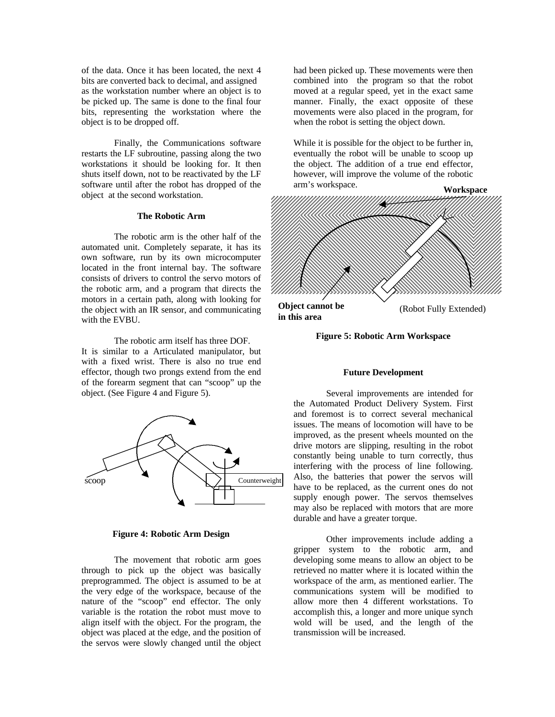of the data. Once it has been located, the next 4 bits are converted back to decimal, and assigned as the workstation number where an object is to be picked up. The same is done to the final four bits, representing the workstation where the object is to be dropped off.

Finally, the Communications software restarts the LF subroutine, passing along the two workstations it should be looking for. It then shuts itself down, not to be reactivated by the LF software until after the robot has dropped of the object at the second workstation.

# **The Robotic Arm**

The robotic arm is the other half of the automated unit. Completely separate, it has its own software, run by its own microcomputer located in the front internal bay. The software consists of drivers to control the servo motors of the robotic arm, and a program that directs the motors in a certain path, along with looking for the object with an IR sensor, and communicating with the EVBU.

The robotic arm itself has three DOF. It is similar to a Articulated manipulator, but with a fixed wrist. There is also no true end effector, though two prongs extend from the end of the forearm segment that can "scoop" up the object. (See Figure 4 and Figure 5).



## **Figure 4: Robotic Arm Design**

The movement that robotic arm goes through to pick up the object was basically preprogrammed. The object is assumed to be at the very edge of the workspace, because of the nature of the "scoop" end effector. The only variable is the rotation the robot must move to align itself with the object. For the program, the object was placed at the edge, and the position of the servos were slowly changed until the object

had been picked up. These movements were then combined into the program so that the robot moved at a regular speed, yet in the exact same manner. Finally, the exact opposite of these movements were also placed in the program, for when the robot is setting the object down.

While it is possible for the object to be further in, eventually the robot will be unable to scoop up the object. The addition of a true end effector, however, will improve the volume of the robotic arm's workspace.



#### **Figure 5: Robotic Arm Workspace**

## **Future Development**

Several improvements are intended for the Automated Product Delivery System. First and foremost is to correct several mechanical issues. The means of locomotion will have to be improved, as the present wheels mounted on the drive motors are slipping, resulting in the robot constantly being unable to turn correctly, thus interfering with the process of line following. Also, the batteries that power the servos will have to be replaced, as the current ones do not supply enough power. The servos themselves may also be replaced with motors that are more durable and have a greater torque.

Other improvements include adding a gripper system to the robotic arm, and developing some means to allow an object to be retrieved no matter where it is located within the workspace of the arm, as mentioned earlier. The communications system will be modified to allow more then 4 different workstations. To accomplish this, a longer and more unique synch wold will be used, and the length of the transmission will be increased.